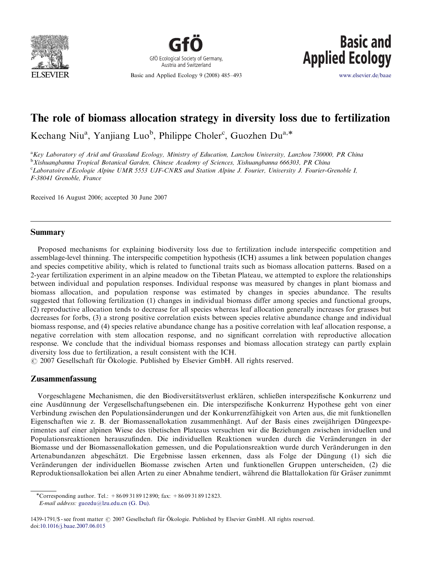



Basic and Applied Ecology 9 (2008) 485–493



<www.elsevier.de/baae>

# The role of biomass allocation strategy in diversity loss due to fertilization

Kechang Niu<sup>a</sup>, Yanjiang Luo<sup>b</sup>, Philippe Choler<sup>c</sup>, Guozhen Du<sup>a,\*</sup>

<sup>a</sup>Key Laboratory of Arid and Grassland Ecology, Ministry of Education, Lanzhou University, Lanzhou 730000, PR China <sup>b</sup>Xishuangbanna Tropical Botanical Garden, Chinese Academy of Sciences, Xishuangbanna 666303, PR China <sup>c</sup>Laboratoire d'Ecologie Alpine UMR 5553 UJF-CNRS and Station Alpine J. Fourier, University J. Fourier-Grenoble I, F-38041 Grenoble, France

Received 16 August 2006; accepted 30 June 2007

### Summary

Proposed mechanisms for explaining biodiversity loss due to fertilization include interspecific competition and assemblage-level thinning. The interspecific competition hypothesis (ICH) assumes a link between population changes and species competitive ability, which is related to functional traits such as biomass allocation patterns. Based on a 2-year fertilization experiment in an alpine meadow on the Tibetan Plateau, we attempted to explore the relationships between individual and population responses. Individual response was measured by changes in plant biomass and biomass allocation, and population response was estimated by changes in species abundance. The results suggested that following fertilization (1) changes in individual biomass differ among species and functional groups, (2) reproductive allocation tends to decrease for all species whereas leaf allocation generally increases for grasses but decreases for forbs, (3) a strong positive correlation exists between species relative abundance change and individual biomass response, and (4) species relative abundance change has a positive correlation with leaf allocation response, a negative correlation with stem allocation response, and no significant correlation with reproductive allocation response. We conclude that the individual biomass responses and biomass allocation strategy can partly explain diversity loss due to fertilization, a result consistent with the ICH.

© 2007 Gesellschaft für Ökologie. Published by Elsevier GmbH. All rights reserved.

### Zusammenfassung

Vorgeschlagene Mechanismen, die den Biodiversitätsverlust erklären, schließen interspezifische Konkurrenz und eine Ausdünnung der Vergesellschaftungsebenen ein. Die interspezifische Konkurrenz Hypothese geht von einer Verbindung zwischen den Populationsänderungen und der Konkurrenzfähigkeit von Arten aus, die mit funktionellen Eigenschaften wie z. B. der Biomassenallokation zusammenhängt. Auf der Basis eines zweijährigen Düngeexperimentes auf einer alpinen Wiese des tibetischen Plateaus versuchten wir die Beziehungen zwischen inviduellen und Populationsreaktionen herauszufinden. Die individuellen Reaktionen wurden durch die Veränderungen in der Biomasse und der Biomassenallokation gemessen, und die Populationsreaktion wurde durch Veränderungen in den Artenabundanzen abgeschätzt. Die Ergebnisse lassen erkennen, dass als Folge der Düngung (1) sich die Veränderungen der individuellen Biomasse zwischen Arten und funktionellen Gruppen unterscheiden, (2) die Reproduktionsallokation bei allen Arten zu einer Abnahme tendiert, während die Blattallokation für Gräser zunimmt

<sup>\*</sup>Corresponding author. Tel.: +8609318912890; fax: +8609318912823.

E-mail address: [guozdu@lzu.edu.cn \(G. Du\).](mailto:guozdu@lzu.edu.cn)

<sup>1439-1791/\$ -</sup> see front matter  $\odot$  2007 Gesellschaft für Ökologie. Published by Elsevier GmbH. All rights reserved. doi:[10.1016/j.baae.2007.06.015](dx.doi.org/10.1016/j.baae.2007.06.015)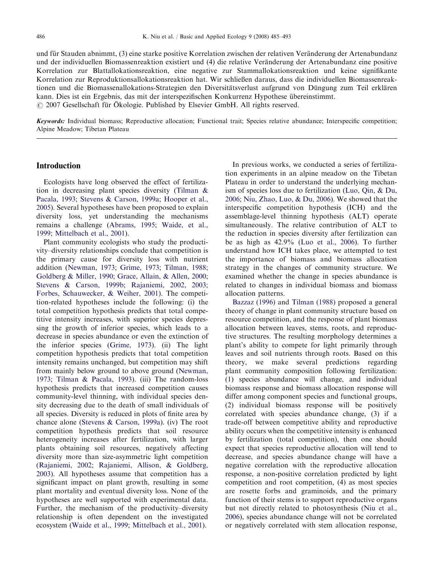und für Stauden abnimmt, (3) eine starke positive Korrelation zwischen der relativen Veränderung der Artenabundanz und der individuellen Biomassenreaktion existiert und (4) die relative Veränderung der Artenabundanz eine positive Korrelation zur Blattallokationsreaktion, eine negative zur Stammallokationsreaktion und keine signifikante Korrelation zur Reproduktionsallokationsreaktion hat. Wir schließen daraus, dass die individuellen Biomassenreaktionen und die Biomassenallokations-Strategien den Diversitätsverlust aufgrund von Düngung zum Teil erklären kann. Dies ist ein Ergebnis, das mit der interspezifischen Konkurrenz Hypothese übereinstimmt. © 2007 Gesellschaft für Ökologie. Published by Elsevier GmbH. All rights reserved.

Keywords: Individual biomass; Reproductive allocation; Functional trait; Species relative abundance; Interspecific competition; Alpine Meadow; Tibetan Plateau

### Introduction

Ecologists have long observed the effect of fertilization in decreasing plant species diversity ([Tilman](#page-8-0) & [Pacala, 1993](#page-8-0); [Stevens & Carson, 1999a;](#page-8-0) [Hooper et al.,](#page-8-0) [2005\)](#page-8-0). Several hypotheses have been proposed to explain diversity loss, yet understanding the mechanisms remains a challenge [\(Abrams, 1995;](#page-7-0) [Waide, et al.,](#page-8-0) [1999;](#page-8-0) [Mittelbach et al., 2001](#page-8-0)).

Plant community ecologists who study the productivity–diversity relationships conclude that competition is the primary cause for diversity loss with nutrient addition [\(Newman, 1973;](#page-8-0) [Grime, 1973;](#page-8-0) [Tilman, 1988](#page-8-0); [Goldberg & Miller, 1990](#page-8-0); [Grace, Allain,](#page-8-0) & [Allen, 2000](#page-8-0); [Stevens](#page-8-0) & [Carson, 1999b](#page-8-0); [Rajaniemi, 2002, 2003](#page-8-0); [Forbes, Schauwecker,](#page-8-0) [& Weiher, 2001\)](#page-8-0). The competition-related hypotheses include the following: (i) the total competition hypothesis predicts that total competitive intensity increases, with superior species depressing the growth of inferior species, which leads to a decrease in species abundance or even the extinction of the inferior species ([Grime, 1973](#page-8-0)). (ii) The light competition hypothesis predicts that total competition intensity remains unchanged, but competition may shift from mainly below ground to above ground ([Newman,](#page-8-0) [1973;](#page-8-0) [Tilman & Pacala, 1993\)](#page-8-0). (iii) The random-loss hypothesis predicts that increased competition causes community-level thinning, with individual species density decreasing due to the death of small individuals of all species. Diversity is reduced in plots of finite area by chance alone ([Stevens](#page-8-0) [& Carson, 1999a](#page-8-0)). (iv) The root competition hypothesis predicts that soil resource heterogeneity increases after fertilization, with larger plants obtaining soil resources, negatively affecting diversity more than size-asymmetric light competition ([Rajaniemi, 2002;](#page-8-0) [Rajaniemi, Allison, & Goldberg,](#page-8-0) [2003\)](#page-8-0). All hypotheses assume that competition has a significant impact on plant growth, resulting in some plant mortality and eventual diversity loss. None of the hypotheses are well supported with experimental data. Further, the mechanism of the productivity–diversity relationship is often dependent on the investigated ecosystem [\(Waide et al., 1999](#page-8-0); [Mittelbach et al., 2001\)](#page-8-0).

In previous works, we conducted a series of fertilization experiments in an alpine meadow on the Tibetan Plateau in order to understand the underlying mechanism of species loss due to fertilization [\(Luo, Qin, & Du,](#page-8-0) [2006;](#page-8-0) [Niu, Zhao, Luo,](#page-8-0) & [Du, 2006](#page-8-0)). We showed that the interspecific competition hypothesis (ICH) and the assemblage-level thinning hypothesis (ALT) operate simultaneously. The relative contribution of ALT to the reduction in species diversity after fertilization can be as high as 42.9% ([Luo et al., 2006\)](#page-8-0). To further understand how ICH takes place, we attempted to test the importance of biomass and biomass allocation strategy in the changes of community structure. We examined whether the change in species abundance is related to changes in individual biomass and biomass allocation patterns.

[Bazzaz \(1996\)](#page-8-0) and [Tilman \(1988\)](#page-8-0) proposed a general theory of change in plant community structure based on resource competition, and the response of plant biomass allocation between leaves, stems, roots, and reproductive structures. The resulting morphology determines a plant's ability to compete for light primarily through leaves and soil nutrients through roots. Based on this theory, we make several predictions regarding plant community composition following fertilization: (1) species abundance will change, and individual biomass response and biomass allocation response will differ among component species and functional groups, (2) individual biomass response will be positively correlated with species abundance change, (3) if a trade-off between competitive ability and reproductive ability occurs when the competitive intensity is enhanced by fertilization (total competition), then one should expect that species reproductive allocation will tend to decrease, and species abundance change will have a negative correlation with the reproductive allocation response, a non-positive correlation predicted by light competition and root competition, (4) as most species are rosette forbs and graminoids, and the primary function of their stems is to support reproductive organs but not directly related to photosynthesis [\(Niu et al.,](#page-8-0) [2006\)](#page-8-0), species abundance change will not be correlated or negatively correlated with stem allocation response,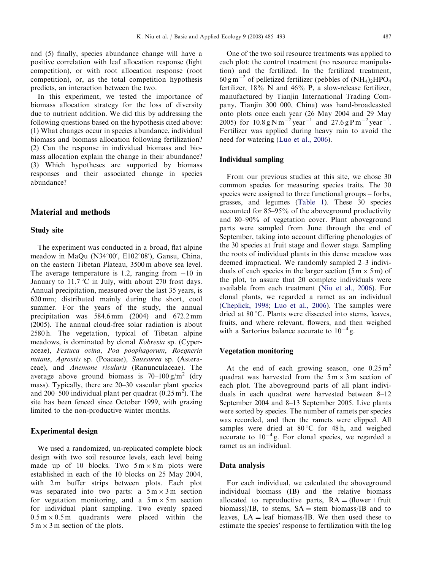and (5) finally, species abundance change will have a positive correlation with leaf allocation response (light competition), or with root allocation response (root competition), or, as the total competition hypothesis predicts, an interaction between the two.

In this experiment, we tested the importance of biomass allocation strategy for the loss of diversity due to nutrient addition. We did this by addressing the following questions based on the hypothesis cited above: (1) What changes occur in species abundance, individual biomass and biomass allocation following fertilization? (2) Can the response in individual biomass and biomass allocation explain the change in their abundance? (3) Which hypotheses are supported by biomass responses and their associated change in species abundance?

### Material and methods

### Study site

The experiment was conducted in a broad, flat alpine meadow in MaQu (N34°00', E102°08'), Gansu, China, on the eastern Tibetan Plateau, 3500 m above sea level. The average temperature is 1.2, ranging from  $-10$  in January to  $11.7 \degree C$  in July, with about 270 frost days. Annual precipitation, measured over the last 35 years, is 620 mm; distributed mainly during the short, cool summer. For the years of the study, the annual precipitation was 584.6 mm (2004) and 672.2 mm (2005). The annual cloud-free solar radiation is about 2580 h. The vegetation, typical of Tibetan alpine meadows, is dominated by clonal Kobresia sp. (Cyperaceae), Festuca ovina, Poa poophagorum, Roegneria nutans, Agrostis sp. (Poaceae), Saussurea sp. (Asteraceae), and Anemone rivularis (Ranunculaceae). The average above ground biomass is  $70-100 \text{ g/m}^2$  (dry mass). Typically, there are 20–30 vascular plant species and 200–500 individual plant per quadrat  $(0.25 \text{ m}^2)$ . The site has been fenced since October 1999, with grazing limited to the non-productive winter months.

#### Experimental design

We used a randomized, un-replicated complete block design with two soil resource levels, each level being made up of 10 blocks. Two  $5 \text{ m} \times 8 \text{ m}$  plots were established in each of the 10 blocks on 25 May 2004, with 2 m buffer strips between plots. Each plot was separated into two parts: a  $5 \text{ m} \times 3 \text{ m}$  section for vegetation monitoring, and a  $5 \text{ m} \times 5 \text{ m}$  section for individual plant sampling. Two evenly spaced  $0.5 \text{ m} \times 0.5 \text{ m}$  quadrants were placed within the  $5 \text{ m} \times 3 \text{ m}$  section of the plots.

One of the two soil resource treatments was applied to each plot: the control treatment (no resource manipulation) and the fertilized. In the fertilized treatment,  $60 \text{ g m}^{-2}$  of pelletized fertilizer (pebbles of  $(NH_4)_2 HPO_4$ fertilizer, 18% N and 46% P, a slow-release fertilizer, manufactured by Tianjin International Trading Company, Tianjin 300 000, China) was hand-broadcasted onto plots once each year (26 May 2004 and 29 May 2005) for  $10.8 \text{ g N m}^{-2} \text{ year}^{-1}$  and  $27.6 \text{ g P m}^{-2} \text{ year}^{-1}$ . Fertilizer was applied during heavy rain to avoid the need for watering [\(Luo et al., 2006\)](#page-8-0).

#### Individual sampling

From our previous studies at this site, we chose 30 common species for measuring species traits. The 30 species were assigned to three functional groups – forbs, grasses, and legumes ([Table 1\)](#page-3-0). These 30 species accounted for 85–95% of the aboveground productivity and 80–90% of vegetation cover. Plant aboveground parts were sampled from June through the end of September, taking into account differing phenologies of the 30 species at fruit stage and flower stage. Sampling the roots of individual plants in this dense meadow was deemed impractical. We randomly sampled 2–3 individuals of each species in the larger section  $(5 \text{ m} \times 5 \text{ m})$  of the plot, to assure that 20 complete individuals were available from each treatment ([Niu et al., 2006\)](#page-8-0). For clonal plants, we regarded a ramet as an individual ([Cheplick, 1998](#page-8-0); [Luo et al., 2006](#page-8-0)). The samples were dried at  $80^{\circ}$ C. Plants were dissected into stems, leaves, fruits, and where relevant, flowers, and then weighed with a Sartorius balance accurate to  $10^{-4}$  g.

### Vegetation monitoring

At the end of each growing season, one  $0.25 \text{ m}^2$ quadrat was harvested from the  $5 \text{ m} \times 3 \text{ m}$  section of each plot. The aboveground parts of all plant individuals in each quadrat were harvested between 8–12 September 2004 and 8–13 September 2005. Live plants were sorted by species. The number of ramets per species was recorded, and then the ramets were clipped. All samples were dried at  $80^{\circ}$ C for 48 h, and weighed accurate to  $10^{-4}$  g. For clonal species, we regarded a ramet as an individual.

#### Data analysis

For each individual, we calculated the aboveground individual biomass (IB) and the relative biomass allocated to reproductive parts,  $RA = (flower + fruit$ biomass)/IB, to stems,  $SA =$  stem biomass/IB and to leaves,  $LA = leaf \; biomass/IB$ . We then used these to estimate the species' response to fertilization with the log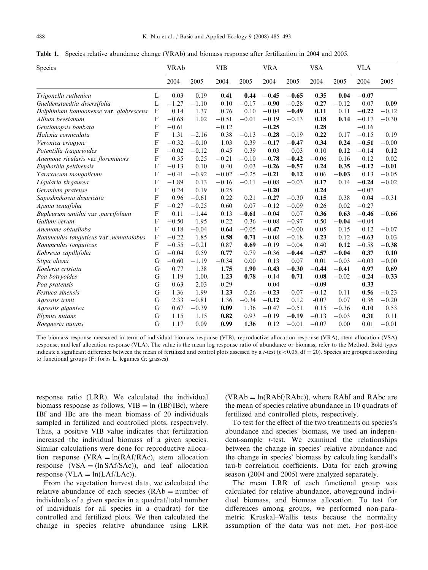<span id="page-3-0"></span>Table 1. Species relative abundance change (VRAb) and biomass response after fertilization in 2004 and 2005.

| Species                                |   | <b>VRAb</b> |         | <b>VIB</b> |         | <b>VRA</b> |         | <b>VSA</b> |         | <b>VLA</b> |         |
|----------------------------------------|---|-------------|---------|------------|---------|------------|---------|------------|---------|------------|---------|
|                                        |   | 2004        | 2005    | 2004       | 2005    | 2004       | 2005    | 2004       | 2005    | 2004       | 2005    |
| Trigonella ruthenica                   | L | 0.03        | 0.19    | 0.41       | 0.44    | $-0.45$    | $-0.65$ | 0.35       | 0.04    | $-0.07$    |         |
| Gueldenstaedtia diversifolia           | L | $-1.27$     | $-1.10$ | 0.10       | $-0.17$ | $-0.90$    | $-0.28$ | 0.27       | $-0.12$ | 0.07       | 0.09    |
| Delphinium kamaonense var. glabrescens | F | 0.14        | 1.37    | 0.76       | 0.10    | $-0.04$    | $-0.49$ | 0.11       | 0.11    | $-0.22$    | $-0.12$ |
| Allium beesianum                       | F | $-0.68$     | 1.02    | $-0.51$    | $-0.01$ | $-0.19$    | $-0.13$ | 0.18       | 0.14    | $-0.17$    | $-0.30$ |
| Gentianopsis banbata                   | F | $-0.61$     |         | $-0.12$    |         | $-0.25$    |         | 0.28       |         | $-0.16$    |         |
| Halenia corniculata                    | F | 1.31        | $-2.16$ | 0.38       | $-0.13$ | $-0.28$    | $-0.19$ | 0.22       | 0.17    | $-0.15$    | 0.19    |
| Veronica eriogyne                      | F | $-0.32$     | $-0.10$ | 1.03       | 0.39    | $-0.17$    | $-0.47$ | 0.34       | 0.24    | $-0.51$    | $-0.00$ |
| Potentilla fragarioides                | F | $-0.02$     | $-0.12$ | 0.45       | 0.39    | 0.03       | 0.03    | 0.10       | 0.12    | $-0.14$    | 0.12    |
| Anemone rivularis var floreminors      | F | 0.35        | 0.25    | $-0.21$    | $-0.10$ | $-0.78$    | $-0.42$ | $-0.06$    | 0.16    | 0.12       | 0.02    |
| Euphorbia pekinensis                   | F | $-0.13$     | 0.10    | 0.40       | 0.03    | $-0.26$    | $-0.57$ | 0.24       | 0.35    | $-0.12$    | $-0.01$ |
| Taraxacum mongolicum                   | F | $-0.41$     | $-0.92$ | $-0.02$    | $-0.25$ | $-0.21$    | 0.12    | 0.06       | $-0.03$ | 0.13       | $-0.05$ |
| Ligularia virgaurea                    | F | $-1.89$     | 0.13    | $-0.16$    | $-0.11$ | $-0.08$    | $-0.03$ | 0.17       | 0.14    | $-0.24$    | $-0.02$ |
| Geranium pratense                      | F | 0.24        | 0.19    | 0.25       |         | $-0.20$    |         | 0.24       |         | $-0.07$    |         |
| Saposhnikovia divaricata               | F | 0.96        | $-0.61$ | 0.22       | 0.21    | $-0.27$    | $-0.30$ | 0.15       | 0.38    | 0.04       | $-0.31$ |
| Ajania tenuifolia                      | F | $-0.27$     | $-0.25$ | 0.60       | 0.07    | $-0.12$    | $-0.09$ | 0.26       | 0.02    | $-0.27$    |         |
| Bupleurum smithii var .parvifolium     | F | 0.11        | $-1.44$ | 0.13       | $-0.61$ | $-0.04$    | 0.07    | 0.36       | 0.63    | $-0.46$    | $-0.66$ |
| Galium verum                           | F | $-0.50$     | 1.95    | 0.22       | 0.36    | $-0.08$    | $-0.97$ | 0.50       | $-0.04$ | $-0.04$    |         |
| Anemone obtusiloba                     | F | 0.18        | $-0.04$ | 0.64       | $-0.05$ | $-0.47$    | $-0.00$ | 0.05       | 0.15    | 0.12       | $-0.07$ |
| Ranunculus tanguticus var .nematolobus | F | $-0.22$     | 1.85    | 0.58       | 0.71    | $-0.08$    | $-0.18$ | 0.23       | 0.12    | $-0.63$    | 0.03    |
| Ranunculus tanguticus                  | F | $-0.55$     | $-0.21$ | 0.87       | 0.69    | $-0.19$    | $-0.04$ | 0.40       | 0.12    | $-0.58$    | $-0.38$ |
| Kobresia capillifolia                  | G | $-0.04$     | 0.59    | 0.77       | 0.79    | $-0.36$    | $-0.44$ | $-0.57$    | $-0.04$ | 0.37       | 0.10    |
| Stipa aliena                           | G | $-0.60$     | $-1.19$ | $-0.34$    | 0.00    | 0.13       | 0.07    | 0.01       | $-0.03$ | $-0.03$    | $-0.00$ |
| Koeleria cristata                      | G | 0.77        | 1.38    | 1.75       | 1.90    | $-0.43$    | $-0.30$ | $-0.44$    | $-0.41$ | 0.97       | 0.69    |
| Poa botryoides                         | G | 1.19        | 1.00.   | 1.23       | 0.78    | $-0.14$    | 0.71    | 0.08       | $-0.02$ | $-0.24$    | $-0.33$ |
| Poa pratensis                          | G | 0.63        | 2.03    | 0.29       |         | 0.04       |         | $-0.09$    |         | 0.33       |         |
| Festuca sinensis                       | G | 1.36        | 1.99    | 1.23       | 0.26    | $-0.23$    | 0.07    | $-0.12$    | 0.11    | 0.56       | $-0.23$ |
| Agrostis trinii                        | G | 2.33        | $-0.81$ | 1.36       | $-0.34$ | $-0.12$    | 0.12    | $-0.07$    | 0.07    | 0.36       | $-0.20$ |
| Agrostis gigantea                      | G | 0.67        | $-0.39$ | 0.09       | 1.36    | $-0.47$    | $-0.51$ | 0.15       | $-0.36$ | 0.10       | 0.53    |
| Elymus nutans                          | G | 1.15        | 1.15    | 0.82       | 0.93    | $-0.19$    | $-0.19$ | $-0.13$    | $-0.03$ | 0.31       | 0.11    |
| Roegneria nutans                       | G | 1.17        | 0.09    | 0.99       | 1.36    | 0.12       | $-0.01$ | $-0.07$    | 0.00    | 0.01       | $-0.01$ |

The biomass response measured in term of individual biomass response (VIB), reproductive allocation response (VRA), stem allocation (VSA) response, and leaf allocation response (VLA). The value is the mean log response ratio of abundance or biomass, refer to the Method. Bold types indicate a significant difference between the mean of fertilized and control plots assessed by a *t*-test ( $p < 0.05$ , df = 20). Species are grouped according to functional groups (F: forbs L: legumes G: grasses)

response ratio (LRR). We calculated the individual biomass response as follows,  $VIB = ln (IBf/IBc)$ , where IBf and IBc are the mean biomass of 20 individuals sampled in fertilized and controlled plots, respectively. Thus, a positive VIB value indicates that fertilization increased the individual biomass of a given species. Similar calculations were done for reproductive allocation response (VRA =  $ln(RAf/RAc)$ , stem allocation response  $(VSA = (\ln SAf/SAc))$ , and leaf allocation response (VLA =  $ln(LAf/LAc)$ ).

From the vegetation harvest data, we calculated the relative abundance of each species  $(RAb = number of$ individuals of a given species in a quadrat/total number of individuals for all species in a quadrat) for the controlled and fertilized plots. We then calculated the change in species relative abundance using LRR

 $(VRAb = ln(RAbf/RAbc))$ , where RAbf and RAbc are the mean of species relative abundance in 10 quadrats of fertilized and controlled plots, respectively.

To test for the effect of the two treatments on species's abundance and species' biomass, we used an independent-sample t-test. We examined the relationships between the change in species' relative abundance and the change in species' biomass by calculating kendall's tau-b correlation coefficients. Data for each growing season (2004 and 2005) were analyzed separately.

The mean LRR of each functional group was calculated for relative abundance, aboveground individual biomass, and biomass allocation. To test for differences among groups, we performed non-parametric Kruskal–Wallis tests because the normality assumption of the data was not met. For post-hoc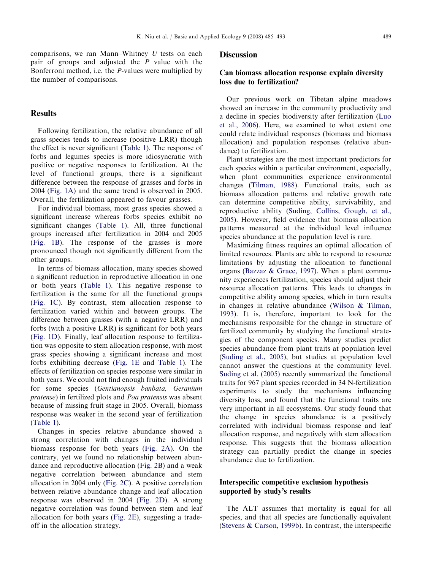comparisons, we ran Mann–Whitney  $U$  tests on each pair of groups and adjusted the  $P$  value with the Bonferroni method, i.e. the P-values were multiplied by the number of comparisons.

### Results

Following fertilization, the relative abundance of all grass species tends to increase (positive LRR) though the effect is never significant [\(Table 1\)](#page-3-0). The response of forbs and legumes species is more idiosyncratic with positive or negative responses to fertilization. At the level of functional groups, there is a significant difference between the response of grasses and forbs in 2004 [\(Fig. 1A](#page-5-0)) and the same trend is observed in 2005. Overall, the fertilization appeared to favour grasses.

For individual biomass, most grass species showed a significant increase whereas forbs species exhibit no significant changes [\(Table 1](#page-3-0)). All, three functional groups increased after fertilization in 2004 and 2005 ([Fig. 1B\)](#page-5-0). The response of the grasses is more pronounced though not significantly different from the other groups.

In terms of biomass allocation, many species showed a significant reduction in reproductive allocation in one or both years ([Table 1](#page-3-0)). This negative response to fertilization is the same for all the functional groups ([Fig. 1C](#page-5-0)). By contrast, stem allocation response to fertilization varied within and between groups. The difference between grasses (with a negative LRR) and forbs (with a positive LRR) is significant for both years ([Fig. 1D](#page-5-0)). Finally, leaf allocation response to fertilization was opposite to stem allocation response, with most grass species showing a significant increase and most forbs exhibiting decrease ([Fig. 1E](#page-5-0) and [Table 1](#page-3-0)). The effects of fertilization on species response were similar in both years. We could not find enough fruited individuals for some species (Gentianopsis banbata, Geranium pratense) in fertilized plots and Poa pratensis was absent because of missing fruit stage in 2005. Overall, biomass response was weaker in the second year of fertilization ([Table 1](#page-3-0)).

Changes in species relative abundance showed a strong correlation with changes in the individual biomass response for both years ([Fig. 2A](#page-6-0)). On the contrary, yet we found no relationship between abundance and reproductive allocation ([Fig. 2B](#page-6-0)) and a weak negative correlation between abundance and stem allocation in 2004 only [\(Fig. 2C](#page-6-0)). A positive correlation between relative abundance change and leaf allocation response was observed in 2004 [\(Fig. 2D](#page-6-0)). A strong negative correlation was found between stem and leaf allocation for both years ([Fig. 2E](#page-6-0)), suggesting a tradeoff in the allocation strategy.

#### **Discussion**

# Can biomass allocation response explain diversity loss due to fertilization?

Our previous work on Tibetan alpine meadows showed an increase in the community productivity and a decline in species biodiversity after fertilization ([Luo](#page-8-0) [et al., 2006](#page-8-0)). Here, we examined to what extent one could relate individual responses (biomass and biomass allocation) and population responses (relative abundance) to fertilization.

Plant strategies are the most important predictors for each species within a particular environment, especially, when plant communities experience environmental changes ([Tilman, 1988](#page-8-0)). Functional traits, such as biomass allocation patterns and relative growth rate can determine competitive ability, survivability, and reproductive ability ([Suding, Collins, Gough, et al.,](#page-8-0) [2005](#page-8-0)). However, field evidence that biomass allocation patterns measured at the individual level influence species abundance at the population level is rare.

Maximizing fitness requires an optimal allocation of limited resources. Plants are able to respond to resource limitations by adjusting the allocation to functional organs [\(Bazzaz](#page-8-0) & [Grace, 1997](#page-8-0)). When a plant community experiences fertilization, species should adjust their resource allocation patterns. This leads to changes in competitive ability among species, which in turn results in changes in relative abundance ([Wilson](#page-8-0) & [Tilman,](#page-8-0) [1993](#page-8-0)). It is, therefore, important to look for the mechanisms responsible for the change in structure of fertilized community by studying the functional strategies of the component species. Many studies predict species abundance from plant traits at population level ([Suding et al., 2005\)](#page-8-0), but studies at population level cannot answer the questions at the community level. [Suding et al. \(2005\)](#page-8-0) recently summarized the functional traits for 967 plant species recorded in 34 N-fertilization experiments to study the mechanisms influencing diversity loss, and found that the functional traits are very important in all ecosystems. Our study found that the change in species abundance is a positively correlated with individual biomass response and leaf allocation response, and negatively with stem allocation response. This suggests that the biomass allocation strategy can partially predict the change in species abundance due to fertilization.

# Interspecific competitive exclusion hypothesis supported by study's results

The ALT assumes that mortality is equal for all species, and that all species are functionally equivalent ([Stevens & Carson, 1999b](#page-8-0)). In contrast, the interspecific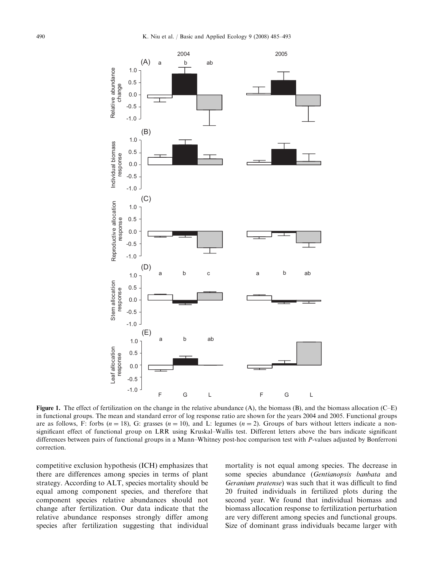<span id="page-5-0"></span>

Figure 1. The effect of fertilization on the change in the relative abundance (A), the biomass (B), and the biomass allocation (C–E) in functional groups. The mean and standard error of log response ratio are shown for the years 2004 and 2005. Functional groups are as follows, F: forbs ( $n = 18$ ), G: grasses ( $n = 10$ ), and L: legumes ( $n = 2$ ). Groups of bars without letters indicate a nonsignificant effect of functional group on LRR using Kruskal–Wallis test. Different letters above the bars indicate significant differences between pairs of functional groups in a Mann–Whitney post-hoc comparison test with P-values adjusted by Bonferroni correction.

competitive exclusion hypothesis (ICH) emphasizes that there are differences among species in terms of plant strategy. According to ALT, species mortality should be equal among component species, and therefore that component species relative abundances should not change after fertilization. Our data indicate that the relative abundance responses strongly differ among species after fertilization suggesting that individual

mortality is not equal among species. The decrease in some species abundance (Gentianopsis banbata and Geranium pratense) was such that it was difficult to find 20 fruited individuals in fertilized plots during the second year. We found that individual biomass and biomass allocation response to fertilization perturbation are very different among species and functional groups. Size of dominant grass individuals became larger with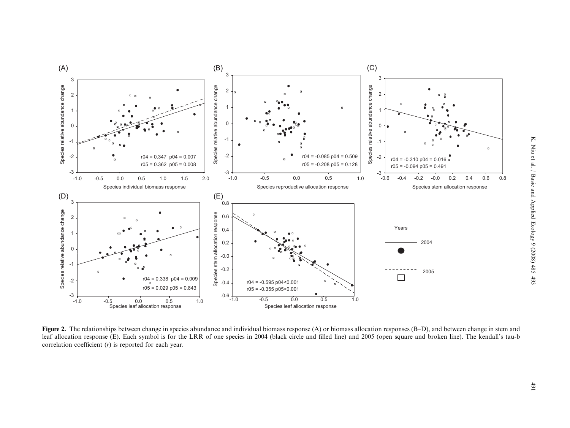<span id="page-6-0"></span>

Figure 2. The relationships between change in species abundance and individual biomass response (A) or biomass allocation responses (B–D), and between change in stem and leaf allocation response (E). Each symbol is for the LRR of one species in 2004 (black circle and filled line) and 2005 (open square and broken line). The kendall's tau-b correlation coefficient (r) is reported for each year.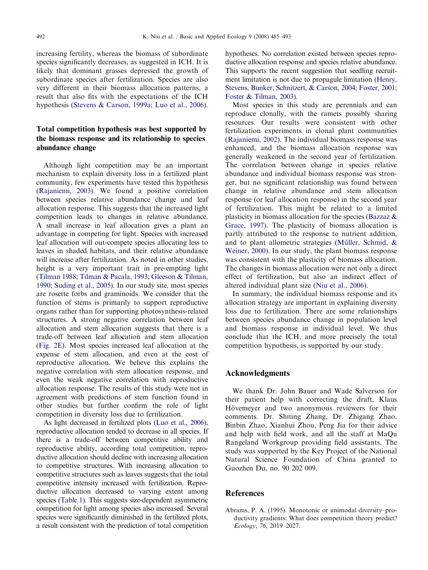<span id="page-7-0"></span>increasing fertility, whereas the biomass of subordinate species significantly decreases, as suggested in ICH. It is likely that dominant grasses depressed the growth of subordinate species after fertilization. Species are also very different in their biomass allocation patterns, a result that also fits with the expectations of the ICH hypothesis [\(Stevens](#page-8-0) [& Carson, 1999a;](#page-8-0) [Luo et al., 2006\)](#page-8-0).

# Total competition hypothesis was best supported by the biomass response and its relationship to species abundance change

Although light competition may be an important mechanism to explain diversity loss in a fertilized plant community, few experiments have tested this hypothesis ([Rajaniemi, 2003](#page-8-0)). We found a positive correlation between species relative abundance change and leaf allocation response. This suggests that the increased light competition leads to changes in relative abundance. A small increase in leaf allocation gives a plant an advantage in competing for light. Species with increased leaf allocation will out-compete species allocating less to leaves in shaded habitats, and their relative abundance will increase after fertilization. As noted in other studies, height is a very important trait in pre-empting light ([Tilman 1988](#page-8-0); [Tilman & Pacala, 1993;](#page-8-0) [Gleeson & Tilman,](#page-8-0) [1990](#page-8-0); [Suding et al., 2005\)](#page-8-0). In our study site, most species are rosette forbs and graminoids. We consider that the function of stems is primarily to support reproductive organs rather than for supporting photosynthesis-related structures. A strong negative correlation between leaf allocation and stem allocation suggests that there is a trade-off between leaf allocation and stem allocation ([Fig. 2E](#page-6-0)). Most species increased leaf allocation at the expense of stem allocation, and even at the cost of reproductive allocation. We believe this explains the negative correlation with stem allocation response, and even the weak negative correlation with reproductive allocation response. The results of this study were not in agreement with predictions of stem function found in other studies but further confirm the role of light competition in diversity loss due to fertilization.

As light decreased in fertilized plots [\(Luo et al., 2006\)](#page-8-0), reproductive allocation tended to decrease in all species. If there is a trade-off between competitive ability and reproductive ability, according total competition, reproductive allocation should decline with increasing allocation to competitive structures. With increasing allocation to competitive structures such as leaves suggests that the total competitive intensity increased with fertilization. Reproductive allocation decreased to varying extent among species [\(Table 1](#page-3-0)). This suggests size-dependent asymmetric competition for light among species also increased. Several species were significantly diminished in the fertilized plots, a result consistent with the prediction of total competition hypotheses. No correlation existed between species reproductive allocation response and species relative abundance. This supports the recent suggestion that seedling recruitment limitation is not due to propagule limitation [\(Henry,](#page-8-0) [Stevens, Bunker, Schnitzert,](#page-8-0) & [Carson, 2004](#page-8-0); [Foster, 2001](#page-8-0); [Foster](#page-8-0) & [Tilman, 2003\)](#page-8-0).

Most species in this study are perennials and can reproduce clonally, with the ramets possibly sharing resources. Our results were consistent with other fertilization experiments in clonal plant communities ([Rajaniemi, 2002](#page-8-0)). The individual biomass response was enhanced, and the biomass allocation response was generally weakened in the second year of fertilization. The correlation between change in species relative abundance and individual biomass response was stronger, but no significant relationship was found between change in relative abundance and stem allocation response (or leaf allocation response) in the second year of fertilization. This might be related to a limited plasticity in biomass allocation for the species ([Bazzaz](#page-8-0) & [Grace, 1997](#page-8-0)). The plasticity of biomass allocation is partly attributed to the response to nutrient addition, and to plant allometric strategies (Müller, Schmid,  $\&$ [Weiner, 2000\)](#page-8-0). In our study, the plant biomass response was consistent with the plasticity of biomass allocation. The changes in biomass allocation were not only a direct effect of fertilization, but also an indirect effect of altered individual plant size ([Niu et al., 2006\)](#page-8-0).

In summary, the individual biomass response and its allocation strategy are important in explaining diversity loss due to fertilization. There are some relationships between species abundance change in population level and biomass response in individual level. We thus conclude that the ICH, and more precisely the total competition hypothesis, is supported by our study.

### Acknowledgments

We thank Dr. John Bauer and Wade Salverson for their patient help with correcting the draft, Klaus Hövemeyer and two anonymous reviewers for their comments. Dr. Shiting Zhang, Dr. Zhigang Zhao, Binbin Zhao, Xianhui Zhou, Peng Jia for their advice and help with field work, and all the staff at MaQu Rangeland Workgroup providing field assistants. The study was supported by the Key Project of the National Natural Science Foundation of China granted to Guozhen Du, no. 90 202 009.

# References

Abrams, P. A. (1995). Monotonic or unimodal diversity–productivity gradients: What does competition theory predict? Ecology, 76, 2019–2027.